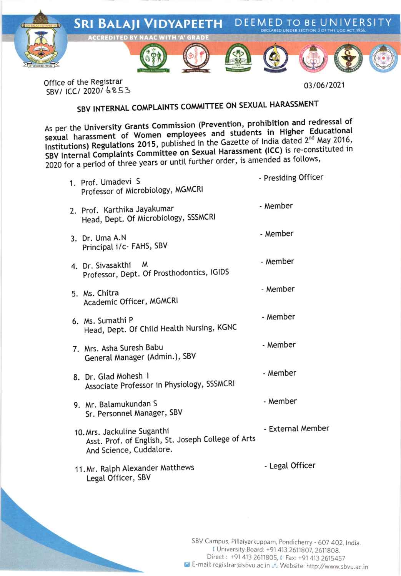

Office of the Registrar SBV/ ICC/ 2020/6853

03/06/2021

- Presiding Officer

## SBV INTERNAL COMPLAINTS COMMITTEE ON SEXUAL HARASSMENT

As per the University Grants Commission (Prevention, prohibition and redressal of sexual harassment of Women employees and students in Higher Educational Institutions) Regulations 2015, published in the Gazette of India dated 2<sup>nd</sup> May 2016, SBV Internal Complaints Committee on Sexual Harassment (ICC) is re-constituted in 2020 for a period of three years or until further order, is amended as follows,

| 1. Prof. Umadevi S<br>Professor of Microbiology, MGMCRI                                                      | - Presiding Officer |
|--------------------------------------------------------------------------------------------------------------|---------------------|
| 2. Prof. Karthika Jayakumar<br>Head, Dept. Of Microbiology, SSSMCRI                                          | - Member            |
| 3. Dr. Uma A.N<br>Principal i/c- FAHS, SBV                                                                   | - Member            |
| 4. Dr. Sivasakthi<br>M<br>Professor, Dept. Of Prosthodontics, IGIDS                                          | - Member            |
| 5. Ms. Chitra<br>Academic Officer, MGMCRI                                                                    | - Member            |
| 6. Ms. Sumathi P<br>Head, Dept. Of Child Health Nursing, KGNC                                                | - Member            |
| 7. Mrs. Asha Suresh Babu<br>General Manager (Admin.), SBV                                                    | - Member            |
| 8. Dr. Glad Mohesh I<br>Associate Professor in Physiology, SSSMCRI                                           | - Member            |
| 9. Mr. Balamukundan S<br>Sr. Personnel Manager, SBV                                                          | - Member            |
| 10. Mrs. Jackuline Suganthi<br>Asst. Prof. of English, St. Joseph College of Arts<br>And Science, Cuddalore. | - External Member   |
| 11. Mr. Ralph Alexander Matthews<br>Legal Officer, SBV                                                       | - Legal Officer     |
|                                                                                                              |                     |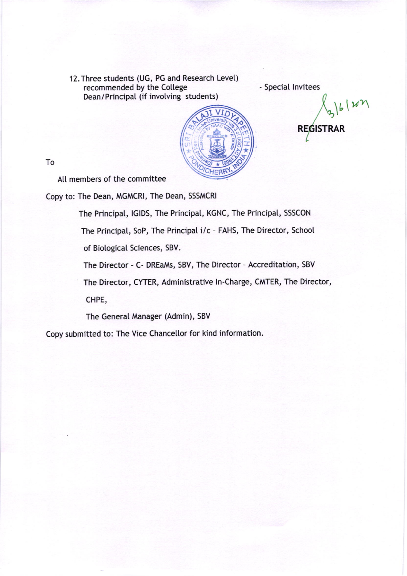l2.Three students (UG, PG and Research Levet) recommended by the Cotlege Dean/Principat (if involving students)

- Speciat lnvitees



 $\frac{1}{3}$ 6/22 REGISTRAR

To

All members of the committee

Copy to: The Dean, MGMCRI, The Dean, SSSMCRI

The Principat, lGlDS, The Principal, KGNC, The Principal, SSSCON

The Principat, SoP, The Principat i/c - FAHS, The Director, School

of Biological Sciences, SBV.

The Director - C- DREaMs, SBV, The Director - Accreditation, SBV

The Director, CYTER, Administrative ln-Charge, CMTER, The Director,

CHPE,

The General Manager (Admin), SBV

Copy submitted to: The Vice Chancetlor for kind information.